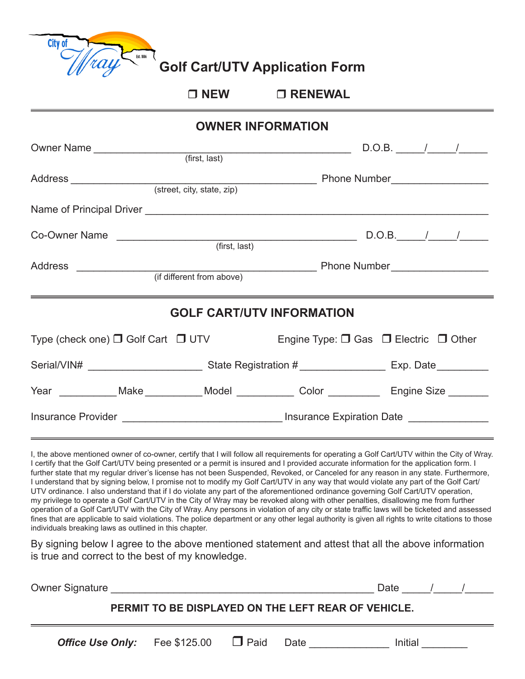

**Golf Cart/UTV Application Form**

## r **NEW** r **RENEWAL**

| <b>OWNER INFORMATION</b>                                                                          |               |                                                                                                          |                  |  |  |  |  |  |
|---------------------------------------------------------------------------------------------------|---------------|----------------------------------------------------------------------------------------------------------|------------------|--|--|--|--|--|
|                                                                                                   |               |                                                                                                          | $D.O.B.$ $/$ $/$ |  |  |  |  |  |
|                                                                                                   |               |                                                                                                          |                  |  |  |  |  |  |
|                                                                                                   |               |                                                                                                          |                  |  |  |  |  |  |
|                                                                                                   | (first, last) |                                                                                                          |                  |  |  |  |  |  |
|                                                                                                   |               |                                                                                                          |                  |  |  |  |  |  |
| <u> 2000 - Andrea Andrewski, amerikansk politik (d. 1989)</u><br><b>GOLF CART/UTV INFORMATION</b> |               |                                                                                                          |                  |  |  |  |  |  |
| Type (check one) $\Box$ Golf Cart $\Box$ UTV Engine Type: $\Box$ Gas $\Box$ Electric $\Box$ Other |               |                                                                                                          |                  |  |  |  |  |  |
|                                                                                                   |               | Serial/VIN# ____________________________State Registration # ___________________ Exp. Date _____________ |                  |  |  |  |  |  |
| Year ___________Make ___________Model ____________Color _______________Engine Size ________       |               |                                                                                                          |                  |  |  |  |  |  |
| Insurance Provider __________________________________Insurance Expiration Date ______________     |               |                                                                                                          |                  |  |  |  |  |  |

I, the above mentioned owner of co-owner, certify that I will follow all requirements for operating a Golf Cart/UTV within the City of Wray. I certify that the Golf Cart/UTV being presented or a permit is insured and I provided accurate information for the application form. I further state that my regular driver's license has not been Suspended, Revoked, or Canceled for any reason in any state. Furthermore, I understand that by signing below, I promise not to modify my Golf Cart/UTV in any way that would violate any part of the Golf Cart/ UTV ordinance. I also understand that if I do violate any part of the aforementioned ordinance governing Golf Cart/UTV operation, my privilege to operate a Golf Cart/UTV in the City of Wray may be revoked along with other penalties, disallowing me from further operation of a Golf Cart/UTV with the City of Wray. Any persons in violation of any city or state traffic laws will be ticketed and assessed fines that are applicable to said violations. The police department or any other legal authority is given all rights to write citations to those individuals breaking laws as outlined in this chapter.

By signing below I agree to the above mentioned statement and attest that all the above information is true and correct to the best of my knowledge.

| <b>Owner Signature</b>                              |  |                                      |  |      | Date    |  |  |
|-----------------------------------------------------|--|--------------------------------------|--|------|---------|--|--|
| PERMIT TO BE DISPLAYED ON THE LEFT REAR OF VEHICLE. |  |                                      |  |      |         |  |  |
|                                                     |  | Office Use Only: Fee \$125.00 □ Paid |  | Date | Initial |  |  |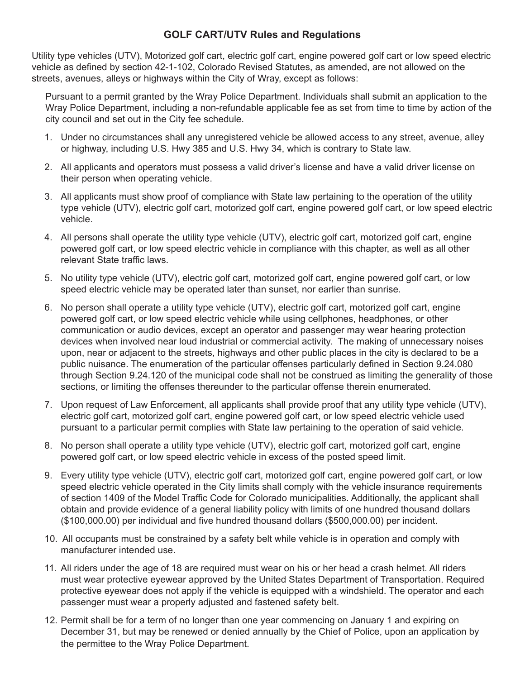## **GOLF CART/UTV Rules and Regulations**

Utility type vehicles (UTV), Motorized golf cart, electric golf cart, engine powered golf cart or low speed electric vehicle as defined by section 42-1-102, Colorado Revised Statutes, as amended, are not allowed on the streets, avenues, alleys or highways within the City of Wray, except as follows:

Pursuant to a permit granted by the Wray Police Department. Individuals shall submit an application to the Wray Police Department, including a non-refundable applicable fee as set from time to time by action of the city council and set out in the City fee schedule.

- 1. Under no circumstances shall any unregistered vehicle be allowed access to any street, avenue, alley or highway, including U.S. Hwy 385 and U.S. Hwy 34, which is contrary to State law.
- 2. All applicants and operators must possess a valid driver's license and have a valid driver license on their person when operating vehicle.
- 3. All applicants must show proof of compliance with State law pertaining to the operation of the utility type vehicle (UTV), electric golf cart, motorized golf cart, engine powered golf cart, or low speed electric vehicle.
- 4. All persons shall operate the utility type vehicle (UTV), electric golf cart, motorized golf cart, engine powered golf cart, or low speed electric vehicle in compliance with this chapter, as well as all other relevant State traffic laws.
- 5. No utility type vehicle (UTV), electric golf cart, motorized golf cart, engine powered golf cart, or low speed electric vehicle may be operated later than sunset, nor earlier than sunrise.
- 6. No person shall operate a utility type vehicle (UTV), electric golf cart, motorized golf cart, engine powered golf cart, or low speed electric vehicle while using cellphones, headphones, or other communication or audio devices, except an operator and passenger may wear hearing protection devices when involved near loud industrial or commercial activity. The making of unnecessary noises upon, near or adjacent to the streets, highways and other public places in the city is declared to be a public nuisance. The enumeration of the particular offenses particularly defined in Section 9.24.080 through Section 9.24.120 of the municipal code shall not be construed as limiting the generality of those sections, or limiting the offenses thereunder to the particular offense therein enumerated.
- 7. Upon request of Law Enforcement, all applicants shall provide proof that any utility type vehicle (UTV), electric golf cart, motorized golf cart, engine powered golf cart, or low speed electric vehicle used pursuant to a particular permit complies with State law pertaining to the operation of said vehicle.
- 8. No person shall operate a utility type vehicle (UTV), electric golf cart, motorized golf cart, engine powered golf cart, or low speed electric vehicle in excess of the posted speed limit.
- 9. Every utility type vehicle (UTV), electric golf cart, motorized golf cart, engine powered golf cart, or low speed electric vehicle operated in the City limits shall comply with the vehicle insurance requirements of section 1409 of the Model Traffic Code for Colorado municipalities. Additionally, the applicant shall obtain and provide evidence of a general liability policy with limits of one hundred thousand dollars (\$100,000.00) per individual and five hundred thousand dollars (\$500,000.00) per incident.
- 10. All occupants must be constrained by a safety belt while vehicle is in operation and comply with manufacturer intended use.
- 11. All riders under the age of 18 are required must wear on his or her head a crash helmet. All riders must wear protective eyewear approved by the United States Department of Transportation. Required protective eyewear does not apply if the vehicle is equipped with a windshield. The operator and each passenger must wear a properly adjusted and fastened safety belt.
- 12. Permit shall be for a term of no longer than one year commencing on January 1 and expiring on December 31, but may be renewed or denied annually by the Chief of Police, upon an application by the permittee to the Wray Police Department.